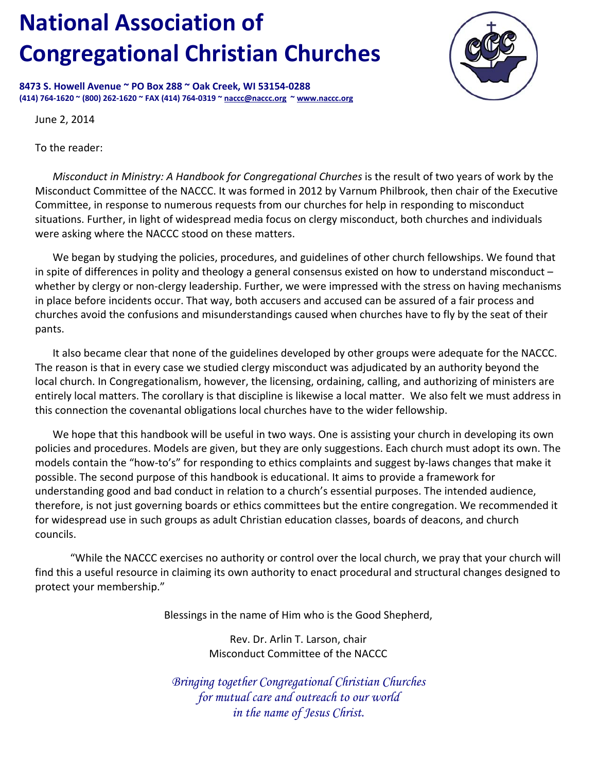# **National Association of Congregational Christian Churches**

**8473 S. Howell Avenue ~ PO Box 288 ~ Oak Creek, WI 53154‐0288** (414) 764-1620 ~ (800) 262-1620 ~ FAX (414) 764-0319 ~ naccc@naccc.org ~ www.naccc.org



June 2, 2014

To the reader:

*Misconduct in Ministry: A Handbook for Congregational Churches* is the result of two years of work by the Misconduct Committee of the NACCC. It was formed in 2012 by Varnum Philbrook, then chair of the Executive Committee, in response to numerous requests from our churches for help in responding to misconduct situations. Further, in light of widespread media focus on clergy misconduct, both churches and individuals were asking where the NACCC stood on these matters.

We began by studying the policies, procedures, and guidelines of other church fellowships. We found that in spite of differences in polity and theology a general consensus existed on how to understand misconduct – whether by clergy or non-clergy leadership. Further, we were impressed with the stress on having mechanisms in place before incidents occur. That way, both accusers and accused can be assured of a fair process and churches avoid the confusions and misunderstandings caused when churches have to fly by the seat of their pants.

It also became clear that none of the guidelines developed by other groups were adequate for the NACCC. The reason is that in every case we studied clergy misconduct was adjudicated by an authority beyond the local church. In Congregationalism, however, the licensing, ordaining, calling, and authorizing of ministers are entirely local matters. The corollary is that discipline is likewise a local matter. We also felt we must address in this connection the covenantal obligations local churches have to the wider fellowship.

We hope that this handbook will be useful in two ways. One is assisting your church in developing its own policies and procedures. Models are given, but they are only suggestions. Each church must adopt its own. The models contain the "how-to's" for responding to ethics complaints and suggest by-laws changes that make it possible. The second purpose of this handbook is educational. It aims to provide a framework for understanding good and bad conduct in relation to a church's essential purposes. The intended audience, therefore, is not just governing boards or ethics committees but the entire congregation. We recommended it for widespread use in such groups as adult Christian education classes, boards of deacons, and church councils.

"While the NACCC exercises no authority or control over the local church, we pray that your church will find this a useful resource in claiming its own authority to enact procedural and structural changes designed to protect your membership."

Blessings in the name of Him who is the Good Shepherd,

Rev. Dr. Arlin T. Larson, chair Misconduct Committee of the NACCC

*Bringing together Congregational Christian Churches for mutual care and outreach to our world in the name of Jesus Christ.*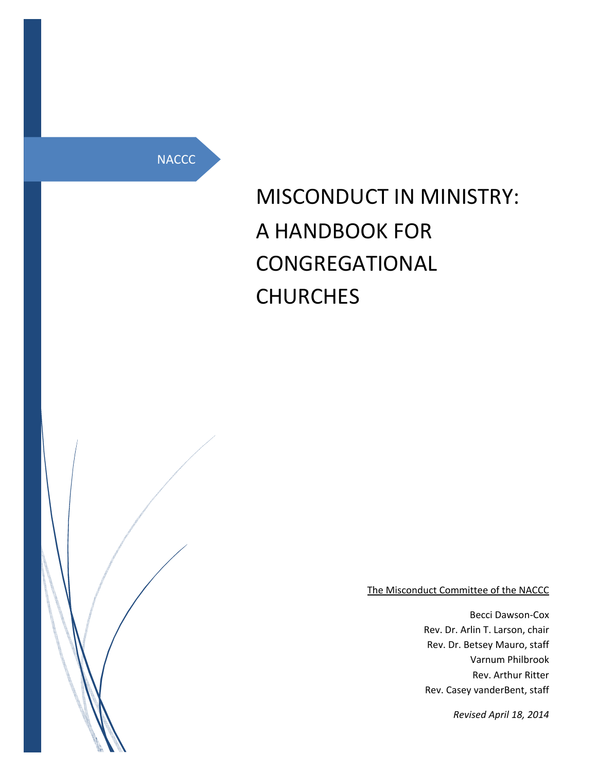**NACCC** 

# MISCONDUCT IN MINISTRY: A HANDBOOK FOR CONGREGATIONAL **CHURCHES**



The Misconduct Committee of the NACCC

Becci Dawson‐Cox Rev. Dr. Arlin T. Larson, chair Rev. Dr. Betsey Mauro, staff Varnum Philbrook Rev. Arthur Ritter Rev. Casey vanderBent, staff

*Revised April 18, 2014*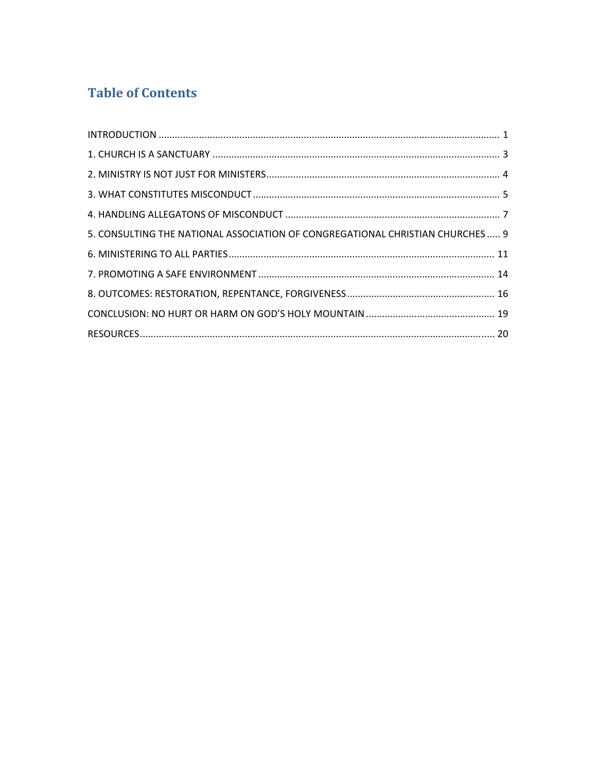# **Table of Contents**

| 5. CONSULTING THE NATIONAL ASSOCIATION OF CONGREGATIONAL CHRISTIAN CHURCHES  9 |  |
|--------------------------------------------------------------------------------|--|
|                                                                                |  |
|                                                                                |  |
|                                                                                |  |
|                                                                                |  |
|                                                                                |  |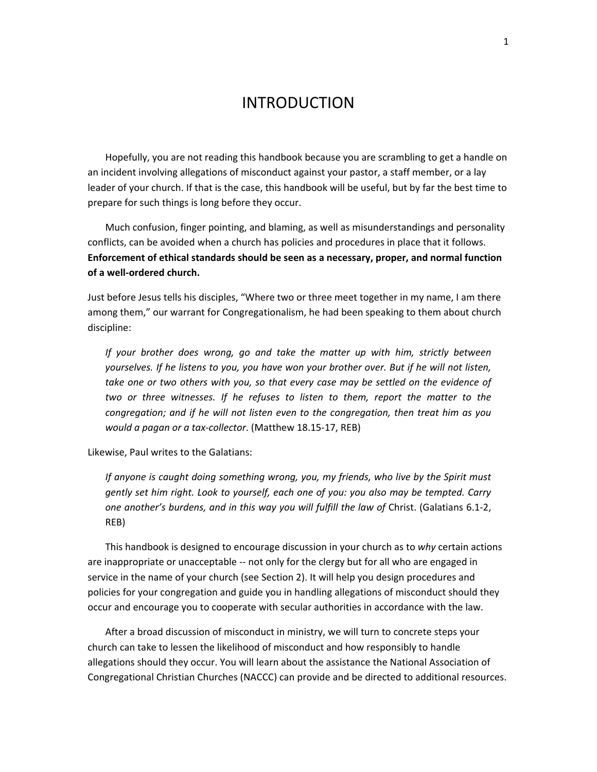## INTRODUCTION

Hopefully, you are not reading this handbook because you are scrambling to get a handle on an incident involving allegations of misconduct against your pastor, a staff member, or a lay leader of your church. If that is the case, this handbook will be useful, but by far the best time to prepare for such things is long before they occur.

Much confusion, finger pointing, and blaming, as well as misunderstandings and personality conflicts, can be avoided when a church has policies and procedures in place that it follows. **Enforcement of ethical standards should be seen as a necessary, proper, and normal function of a well‐ordered church.**

Just before Jesus tells his disciples, "Where two or three meet together in my name, I am there among them," our warrant for Congregationalism, he had been speaking to them about church discipline:

*If your brother does wrong, go and take the matter up with him, strictly between yourselves. If he listens to you, you have won your brother over. But if he will not listen, take one or two others with you, so that every case may be settled on the evidence of two or three witnesses. If he refuses to listen to them, report the matter to the congregation; and if he will not listen even to the congregation, then treat him as you would a pagan or a tax‐collector*. (Matthew 18.15‐17, REB)

Likewise, Paul writes to the Galatians:

*If anyone is caught doing something wrong, you, my friends, who live by the Spirit must gently set him right. Look to yourself, each one of you: you also may be tempted. Carry one another's burdens, and in this way you will fulfill the law of* Christ. (Galatians 6.1‐2, REB)

This handbook is designed to encourage discussion in your church as to *why* certain actions are inappropriate or unacceptable ‐‐ not only for the clergy but for all who are engaged in service in the name of your church (see Section 2). It will help you design procedures and policies for your congregation and guide you in handling allegations of misconduct should they occur and encourage you to cooperate with secular authorities in accordance with the law.

After a broad discussion of misconduct in ministry, we will turn to concrete steps your church can take to lessen the likelihood of misconduct and how responsibly to handle allegations should they occur. You will learn about the assistance the National Association of Congregational Christian Churches (NACCC) can provide and be directed to additional resources.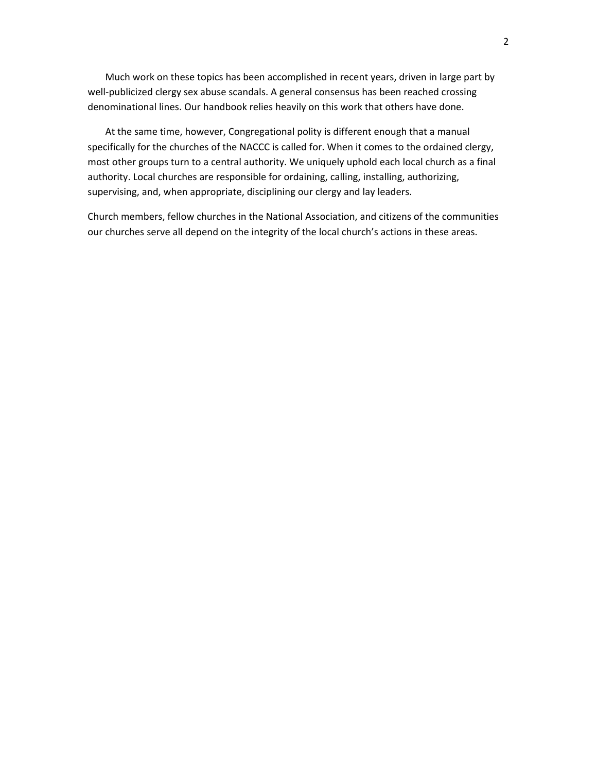Much work on these topics has been accomplished in recent years, driven in large part by well-publicized clergy sex abuse scandals. A general consensus has been reached crossing denominational lines. Our handbook relies heavily on this work that others have done.

At the same time, however, Congregational polity is different enough that a manual specifically for the churches of the NACCC is called for. When it comes to the ordained clergy, most other groups turn to a central authority. We uniquely uphold each local church as a final authority. Local churches are responsible for ordaining, calling, installing, authorizing, supervising, and, when appropriate, disciplining our clergy and lay leaders.

Church members, fellow churches in the National Association, and citizens of the communities our churches serve all depend on the integrity of the local church's actions in these areas.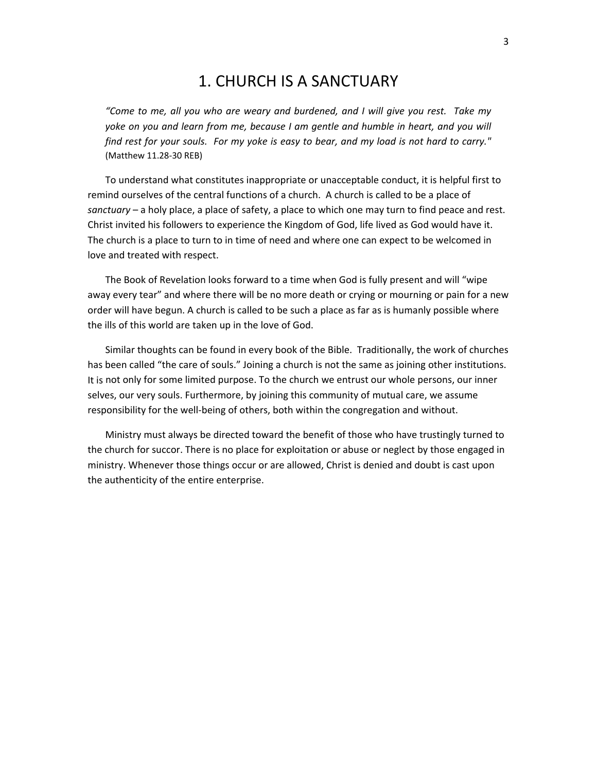## 1. CHURCH IS A SANCTUARY

*"Come to me, all you who are weary and burdened, and I will give you rest. Take my yoke on you and learn from me, because I am gentle and humble in heart, and you will* find rest for your souls. For my yoke is easy to bear, and my load is not hard to carry." (Matthew 11.28‐30 REB)

To understand what constitutes inappropriate or unacceptable conduct, it is helpful first to remind ourselves of the central functions of a church. A church is called to be a place of *sanctuary* – a holy place, a place of safety, a place to which one may turn to find peace and rest. Christ invited his followers to experience the Kingdom of God, life lived as God would have it. The church is a place to turn to in time of need and where one can expect to be welcomed in love and treated with respect.

The Book of Revelation looks forward to a time when God is fully present and will "wipe away every tear" and where there will be no more death or crying or mourning or pain for a new order will have begun. A church is called to be such a place as far as is humanly possible where the ills of this world are taken up in the love of God.

Similar thoughts can be found in every book of the Bible. Traditionally, the work of churches has been called "the care of souls." Joining a church is not the same as joining other institutions. It is not only for some limited purpose. To the church we entrust our whole persons, our inner selves, our very souls. Furthermore, by joining this community of mutual care, we assume responsibility for the well-being of others, both within the congregation and without.

Ministry must always be directed toward the benefit of those who have trustingly turned to the church for succor. There is no place for exploitation or abuse or neglect by those engaged in ministry. Whenever those things occur or are allowed, Christ is denied and doubt is cast upon the authenticity of the entire enterprise.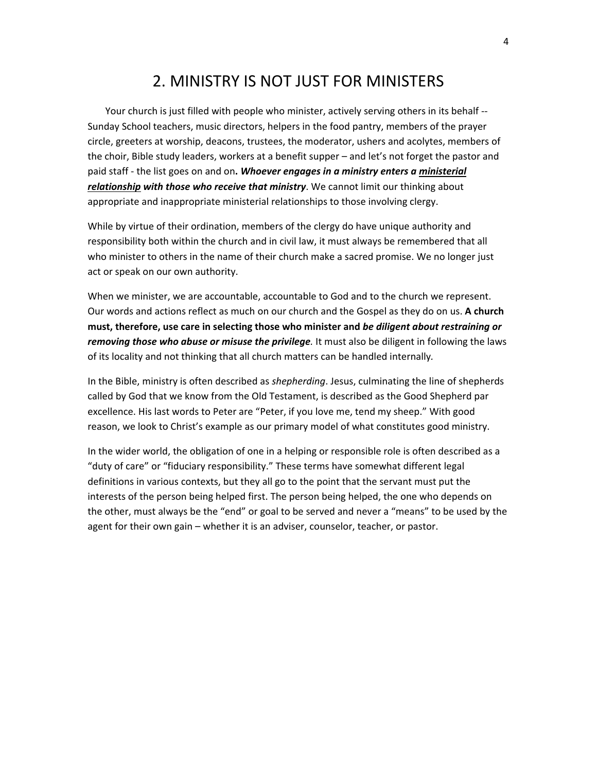## 2. MINISTRY IS NOT JUST FOR MINISTERS

Your church is just filled with people who minister, actively serving others in its behalf --Sunday School teachers, music directors, helpers in the food pantry, members of the prayer circle, greeters at worship, deacons, trustees, the moderator, ushers and acolytes, members of the choir, Bible study leaders, workers at a benefit supper – and let's not forget the pastor and paid staff ‐ the list goes on and on**.** *Whoever engages in a ministry enters a ministerial relationship with those who receive that ministry*. We cannot limit our thinking about appropriate and inappropriate ministerial relationships to those involving clergy.

While by virtue of their ordination, members of the clergy do have unique authority and responsibility both within the church and in civil law, it must always be remembered that all who minister to others in the name of their church make a sacred promise. We no longer just act or speak on our own authority.

When we minister, we are accountable, accountable to God and to the church we represent. Our words and actions reflect as much on our church and the Gospel as they do on us. **A church must, therefore, use care in selecting those who minister and** *be diligent about restraining or removing those who abuse or misuse the privilege.* It must also be diligent in following the laws of its locality and not thinking that all church matters can be handled internally*.*

In the Bible, ministry is often described as *shepherding*. Jesus, culminating the line of shepherds called by God that we know from the Old Testament, is described as the Good Shepherd par excellence. His last words to Peter are "Peter, if you love me, tend my sheep." With good reason, we look to Christ's example as our primary model of what constitutes good ministry.

In the wider world, the obligation of one in a helping or responsible role is often described as a "duty of care" or "fiduciary responsibility." These terms have somewhat different legal definitions in various contexts, but they all go to the point that the servant must put the interests of the person being helped first. The person being helped, the one who depends on the other, must always be the "end" or goal to be served and never a "means" to be used by the agent for their own gain – whether it is an adviser, counselor, teacher, or pastor.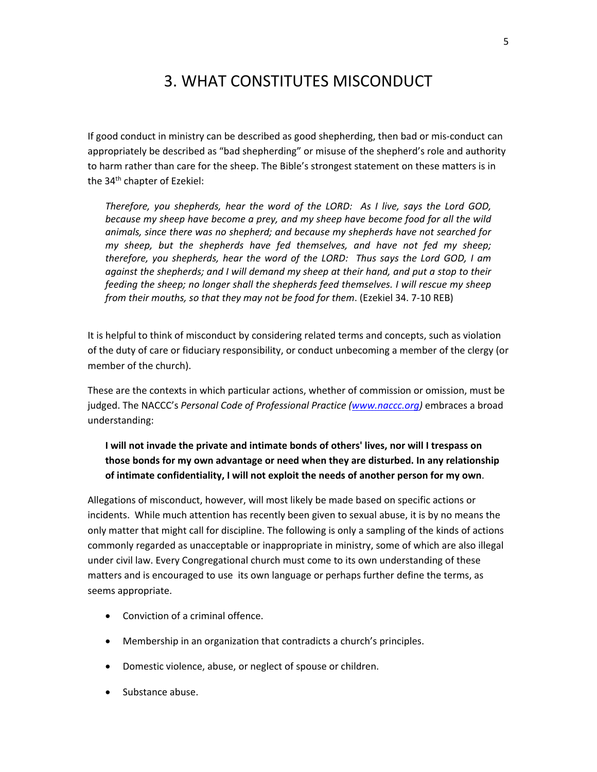# 3. WHAT CONSTITUTES MISCONDUCT

If good conduct in ministry can be described as good shepherding, then bad or mis‐conduct can appropriately be described as "bad shepherding" or misuse of the shepherd's role and authority to harm rather than care for the sheep. The Bible's strongest statement on these matters is in the 34<sup>th</sup> chapter of Ezekiel:

*Therefore, you shepherds, hear the word of the LORD: As I live, says the Lord GOD, because my sheep have become a prey, and my sheep have become food for all the wild animals, since there was no shepherd; and because my shepherds have not searched for my sheep, but the shepherds have fed themselves, and have not fed my sheep; therefore, you shepherds, hear the word of the LORD: Thus says the Lord GOD, I am against the shepherds; and I will demand my sheep at their hand, and put a stop to their feeding the sheep; no longer shall the shepherds feed themselves. I will rescue my sheep from their mouths, so that they may not be food for them*. (Ezekiel 34. 7‐10 REB)

It is helpful to think of misconduct by considering related terms and concepts, such as violation of the duty of care or fiduciary responsibility, or conduct unbecoming a member of the clergy (or member of the church).

These are the contexts in which particular actions, whether of commission or omission, must be judged. The NACCC's *Personal Code of Professional Practice (www.naccc.org)* embraces a broad understanding:

**I will not invade the private and intimate bonds of others' lives, nor will I trespass on those bonds for my own advantage or need when they are disturbed. In any relationship of intimate confidentiality, I will not exploit the needs of another person for my own**.

Allegations of misconduct, however, will most likely be made based on specific actions or incidents. While much attention has recently been given to sexual abuse, it is by no means the only matter that might call for discipline. The following is only a sampling of the kinds of actions commonly regarded as unacceptable or inappropriate in ministry, some of which are also illegal under civil law. Every Congregational church must come to its own understanding of these matters and is encouraged to use its own language or perhaps further define the terms, as seems appropriate.

- Conviction of a criminal offence.
- Membership in an organization that contradicts a church's principles.
- Domestic violence, abuse, or neglect of spouse or children.
- Substance abuse.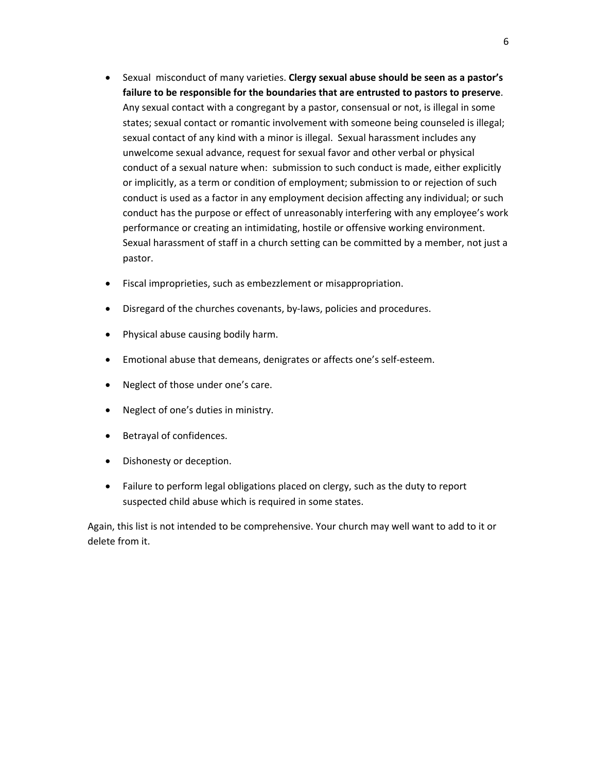- Sexual misconduct of many varieties. **Clergy sexual abuse should be seen as a pastor's failure to be responsible for the boundaries that are entrusted to pastors to preserve**. Any sexual contact with a congregant by a pastor, consensual or not, is illegal in some states; sexual contact or romantic involvement with someone being counseled is illegal; sexual contact of any kind with a minor is illegal. Sexual harassment includes any unwelcome sexual advance, request for sexual favor and other verbal or physical conduct of a sexual nature when: submission to such conduct is made, either explicitly or implicitly, as a term or condition of employment; submission to or rejection of such conduct is used as a factor in any employment decision affecting any individual; or such conduct has the purpose or effect of unreasonably interfering with any employee's work performance or creating an intimidating, hostile or offensive working environment. Sexual harassment of staff in a church setting can be committed by a member, not just a pastor.
- Fiscal improprieties, such as embezzlement or misappropriation.
- Disregard of the churches covenants, by-laws, policies and procedures.
- Physical abuse causing bodily harm.
- Emotional abuse that demeans, denigrates or affects one's self‐esteem.
- Neglect of those under one's care.
- Neglect of one's duties in ministry.
- **•** Betrayal of confidences.
- Dishonesty or deception.
- Failure to perform legal obligations placed on clergy, such as the duty to report suspected child abuse which is required in some states.

Again, this list is not intended to be comprehensive. Your church may well want to add to it or delete from it.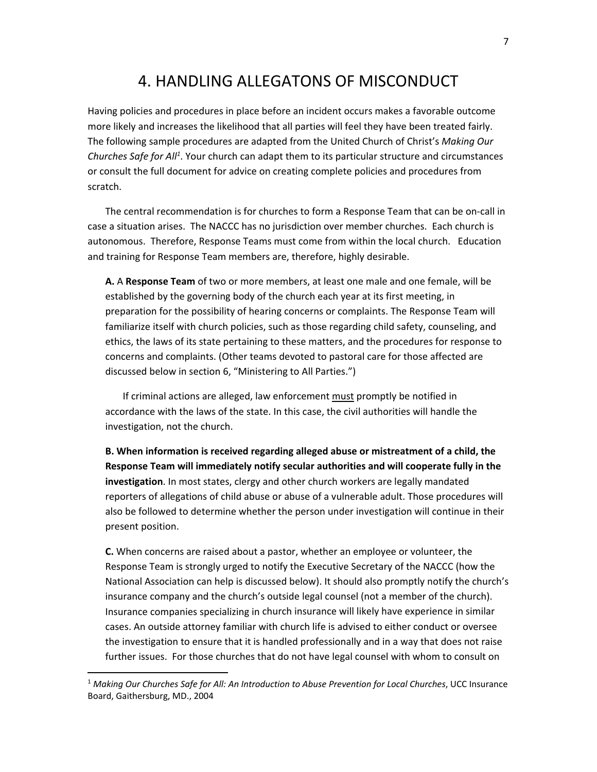# 4. HANDLING ALLEGATONS OF MISCONDUCT

Having policies and procedures in place before an incident occurs makes a favorable outcome more likely and increases the likelihood that all parties will feel they have been treated fairly. The following sample procedures are adapted from the United Church of Christ's *Making Our Churches Safe for All1* . Your church can adapt them to its particular structure and circumstances or consult the full document for advice on creating complete policies and procedures from scratch.

The central recommendation is for churches to form a Response Team that can be on‐call in case a situation arises. The NACCC has no jurisdiction over member churches. Each church is autonomous. Therefore, Response Teams must come from within the local church. Education and training for Response Team members are, therefore, highly desirable.

**A.** A **Response Team** of two or more members, at least one male and one female, will be established by the governing body of the church each year at its first meeting, in preparation for the possibility of hearing concerns or complaints. The Response Team will familiarize itself with church policies, such as those regarding child safety, counseling, and ethics, the laws of its state pertaining to these matters, and the procedures for response to concerns and complaints. (Other teams devoted to pastoral care for those affected are discussed below in section 6, "Ministering to All Parties.")

If criminal actions are alleged, law enforcement must promptly be notified in accordance with the laws of the state. In this case, the civil authorities will handle the investigation, not the church.

**B. When information is received regarding alleged abuse or mistreatment of a child, the Response Team will immediately notify secular authorities and will cooperate fully in the investigation**. In most states, clergy and other church workers are legally mandated reporters of allegations of child abuse or abuse of a vulnerable adult. Those procedures will also be followed to determine whether the person under investigation will continue in their present position.

**C.** When concerns are raised about a pastor, whether an employee or volunteer, the Response Team is strongly urged to notify the Executive Secretary of the NACCC (how the National Association can help is discussed below). It should also promptly notify the church's insurance company and the church's outside legal counsel (not a member of the church). Insurance companies specializing in church insurance will likely have experience in similar cases. An outside attorney familiar with church life is advised to either conduct or oversee the investigation to ensure that it is handled professionally and in a way that does not raise further issues. For those churches that do not have legal counsel with whom to consult on

<sup>1</sup> *Making Our Churches Safe for All: An Introduction to Abuse Prevention for Local Churches*, UCC Insurance Board, Gaithersburg, MD., 2004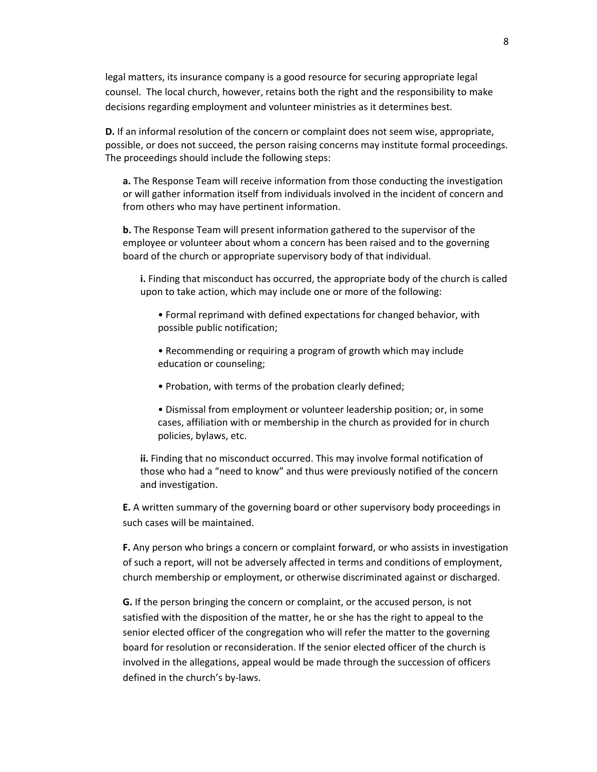legal matters, its insurance company is a good resource for securing appropriate legal counsel. The local church, however, retains both the right and the responsibility to make decisions regarding employment and volunteer ministries as it determines best.

**D.** If an informal resolution of the concern or complaint does not seem wise, appropriate, possible, or does not succeed, the person raising concerns may institute formal proceedings. The proceedings should include the following steps:

**a.** The Response Team will receive information from those conducting the investigation or will gather information itself from individuals involved in the incident of concern and from others who may have pertinent information.

**b.** The Response Team will present information gathered to the supervisor of the employee or volunteer about whom a concern has been raised and to the governing board of the church or appropriate supervisory body of that individual.

**i.** Finding that misconduct has occurred, the appropriate body of the church is called upon to take action, which may include one or more of the following:

• Formal reprimand with defined expectations for changed behavior, with possible public notification;

• Recommending or requiring a program of growth which may include education or counseling;

• Probation, with terms of the probation clearly defined;

• Dismissal from employment or volunteer leadership position; or, in some cases, affiliation with or membership in the church as provided for in church policies, bylaws, etc.

**ii.** Finding that no misconduct occurred. This may involve formal notification of those who had a "need to know" and thus were previously notified of the concern and investigation.

**E.** A written summary of the governing board or other supervisory body proceedings in such cases will be maintained.

**F.** Any person who brings a concern or complaint forward, or who assists in investigation of such a report, will not be adversely affected in terms and conditions of employment, church membership or employment, or otherwise discriminated against or discharged.

**G.** If the person bringing the concern or complaint, or the accused person, is not satisfied with the disposition of the matter, he or she has the right to appeal to the senior elected officer of the congregation who will refer the matter to the governing board for resolution or reconsideration. If the senior elected officer of the church is involved in the allegations, appeal would be made through the succession of officers defined in the church's by‐laws.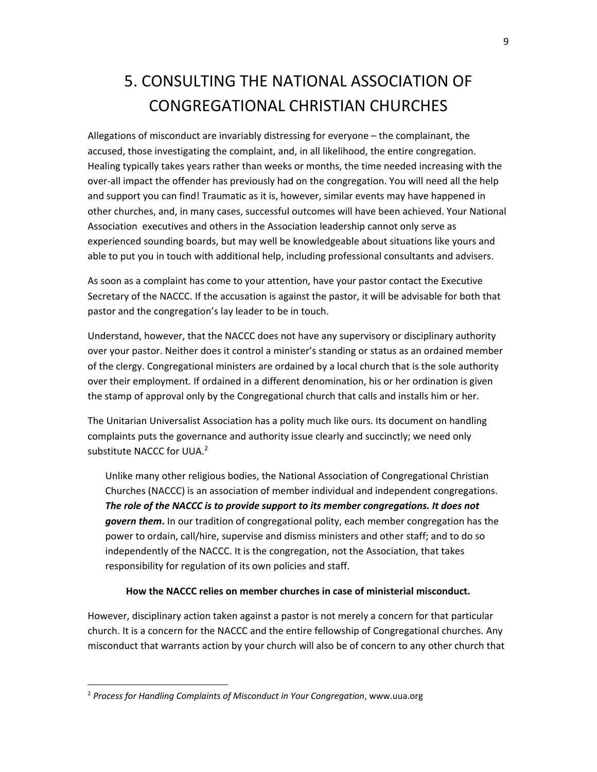# 5. CONSULTING THE NATIONAL ASSOCIATION OF CONGREGATIONAL CHRISTIAN CHURCHES

Allegations of misconduct are invariably distressing for everyone – the complainant, the accused, those investigating the complaint, and, in all likelihood, the entire congregation. Healing typically takes years rather than weeks or months, the time needed increasing with the over-all impact the offender has previously had on the congregation. You will need all the help and support you can find! Traumatic as it is, however, similar events may have happened in other churches, and, in many cases, successful outcomes will have been achieved. Your National Association executives and others in the Association leadership cannot only serve as experienced sounding boards, but may well be knowledgeable about situations like yours and able to put you in touch with additional help, including professional consultants and advisers.

As soon as a complaint has come to your attention, have your pastor contact the Executive Secretary of the NACCC. If the accusation is against the pastor, it will be advisable for both that pastor and the congregation's lay leader to be in touch.

Understand, however, that the NACCC does not have any supervisory or disciplinary authority over your pastor. Neither does it control a minister's standing or status as an ordained member of the clergy. Congregational ministers are ordained by a local church that is the sole authority over their employment. If ordained in a different denomination, his or her ordination is given the stamp of approval only by the Congregational church that calls and installs him or her.

The Unitarian Universalist Association has a polity much like ours. Its document on handling complaints puts the governance and authority issue clearly and succinctly; we need only substitute NACCC for UUA.<sup>2</sup>

Unlike many other religious bodies, the National Association of Congregational Christian Churches (NACCC) is an association of member individual and independent congregations. *The role of the NACCC is to provide support to its member congregations. It does not govern them***.** In our tradition of congregational polity, each member congregation has the power to ordain, call/hire, supervise and dismiss ministers and other staff; and to do so independently of the NACCC. It is the congregation, not the Association, that takes responsibility for regulation of its own policies and staff.

#### **How the NACCC relies on member churches in case of ministerial misconduct.**

However, disciplinary action taken against a pastor is not merely a concern for that particular church. It is a concern for the NACCC and the entire fellowship of Congregational churches. Any misconduct that warrants action by your church will also be of concern to any other church that

<sup>2</sup> *Process for Handling Complaints of Misconduct in Your Congregation*, www.uua.org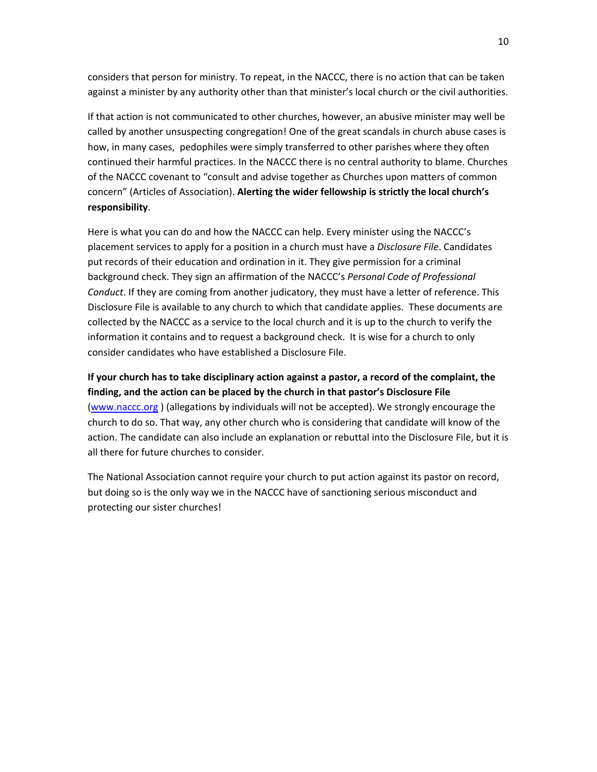considers that person for ministry. To repeat, in the NACCC, there is no action that can be taken against a minister by any authority other than that minister's local church or the civil authorities.

If that action is not communicated to other churches, however, an abusive minister may well be called by another unsuspecting congregation! One of the great scandals in church abuse cases is how, in many cases, pedophiles were simply transferred to other parishes where they often continued their harmful practices. In the NACCC there is no central authority to blame. Churches of the NACCC covenant to "consult and advise together as Churches upon matters of common concern" (Articles of Association). **Alerting the wider fellowship is strictly the local church's responsibility**.

Here is what you can do and how the NACCC can help. Every minister using the NACCC's placement services to apply for a position in a church must have a *Disclosure File*. Candidates put records of their education and ordination in it. They give permission for a criminal background check. They sign an affirmation of the NACCC's *Personal Code of Professional Conduct*. If they are coming from another judicatory, they must have a letter of reference. This Disclosure File is available to any church to which that candidate applies. These documents are collected by the NACCC as a service to the local church and it is up to the church to verify the information it contains and to request a background check. It is wise for a church to only consider candidates who have established a Disclosure File.

**If your church has to take disciplinary action against a pastor, a record of the complaint, the finding, and the action can be placed by the church in that pastor's Disclosure File** (www.naccc.org) (allegations by individuals will not be accepted). We strongly encourage the church to do so. That way, any other church who is considering that candidate will know of the action. The candidate can also include an explanation or rebuttal into the Disclosure File, but it is all there for future churches to consider.

The National Association cannot require your church to put action against its pastor on record, but doing so is the only way we in the NACCC have of sanctioning serious misconduct and protecting our sister churches!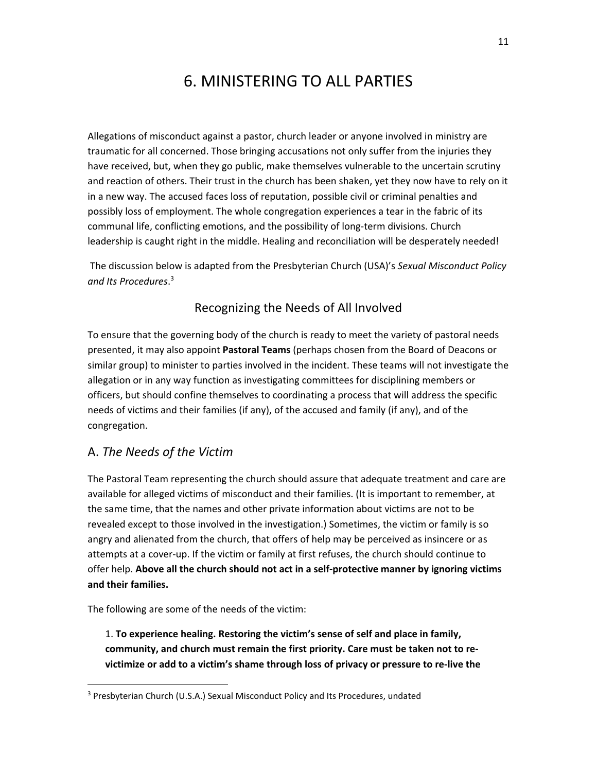# 6. MINISTERING TO ALL PARTIES

Allegations of misconduct against a pastor, church leader or anyone involved in ministry are traumatic for all concerned. Those bringing accusations not only suffer from the injuries they have received, but, when they go public, make themselves vulnerable to the uncertain scrutiny and reaction of others. Their trust in the church has been shaken, yet they now have to rely on it in a new way. The accused faces loss of reputation, possible civil or criminal penalties and possibly loss of employment. The whole congregation experiences a tear in the fabric of its communal life, conflicting emotions, and the possibility of long‐term divisions. Church leadership is caught right in the middle. Healing and reconciliation will be desperately needed!

The discussion below is adapted from the Presbyterian Church (USA)'s *Sexual Misconduct Policy and Its Procedures*. 3

### Recognizing the Needs of All Involved

To ensure that the governing body of the church is ready to meet the variety of pastoral needs presented, it may also appoint **Pastoral Teams** (perhaps chosen from the Board of Deacons or similar group) to minister to parties involved in the incident. These teams will not investigate the allegation or in any way function as investigating committees for disciplining members or officers, but should confine themselves to coordinating a process that will address the specific needs of victims and their families (if any), of the accused and family (if any), and of the congregation.

### A. *The Needs of the Victim*

The Pastoral Team representing the church should assure that adequate treatment and care are available for alleged victims of misconduct and their families. (It is important to remember, at the same time, that the names and other private information about victims are not to be revealed except to those involved in the investigation.) Sometimes, the victim or family is so angry and alienated from the church, that offers of help may be perceived as insincere or as attempts at a cover‐up. If the victim or family at first refuses, the church should continue to offer help. **Above all the church should not act in a self‐protective manner by ignoring victims and their families.**

The following are some of the needs of the victim:

1. **To experience healing. Restoring the victim's sense of self and place in family, community, and church must remain the first priority. Care must be taken not to re‐ victimize or add to a victim's shame through loss of privacy or pressure to re‐live the**

<sup>&</sup>lt;sup>3</sup> Presbyterian Church (U.S.A.) Sexual Misconduct Policy and Its Procedures, undated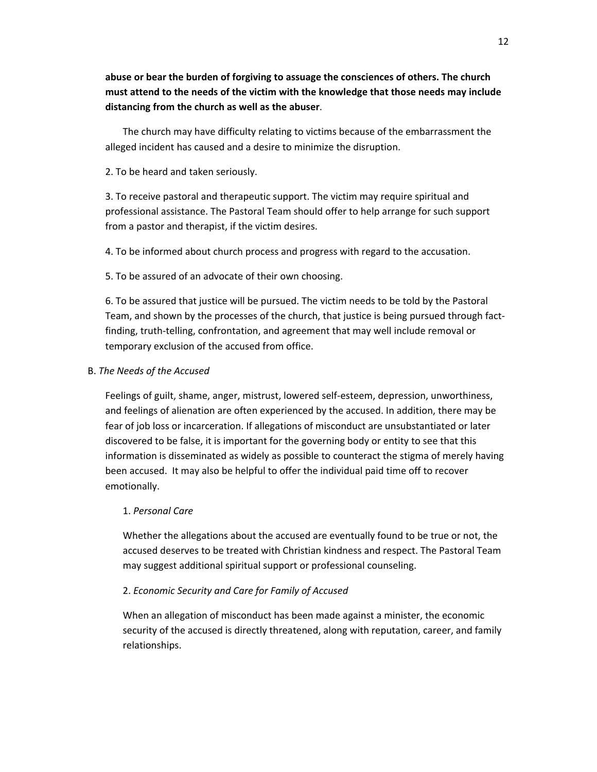#### **abuse or bear the burden of forgiving to assuage the consciences of others. The church must attend to the needs of the victim with the knowledge that those needs may include distancing from the church as well as the abuser**.

The church may have difficulty relating to victims because of the embarrassment the alleged incident has caused and a desire to minimize the disruption.

#### 2. To be heard and taken seriously.

3. To receive pastoral and therapeutic support. The victim may require spiritual and professional assistance. The Pastoral Team should offer to help arrange for such support from a pastor and therapist, if the victim desires.

4. To be informed about church process and progress with regard to the accusation.

5. To be assured of an advocate of their own choosing.

6. To be assured that justice will be pursued. The victim needs to be told by the Pastoral Team, and shown by the processes of the church, that justice is being pursued through fact‐ finding, truth-telling, confrontation, and agreement that may well include removal or temporary exclusion of the accused from office.

#### B. *The Needs of the Accused*

Feelings of guilt, shame, anger, mistrust, lowered self‐esteem, depression, unworthiness, and feelings of alienation are often experienced by the accused. In addition, there may be fear of job loss or incarceration. If allegations of misconduct are unsubstantiated or later discovered to be false, it is important for the governing body or entity to see that this information is disseminated as widely as possible to counteract the stigma of merely having been accused. It may also be helpful to offer the individual paid time off to recover emotionally.

#### 1. *Personal Care*

Whether the allegations about the accused are eventually found to be true or not, the accused deserves to be treated with Christian kindness and respect. The Pastoral Team may suggest additional spiritual support or professional counseling.

#### 2. *Economic Security and Care for Family of Accused*

When an allegation of misconduct has been made against a minister, the economic security of the accused is directly threatened, along with reputation, career, and family relationships.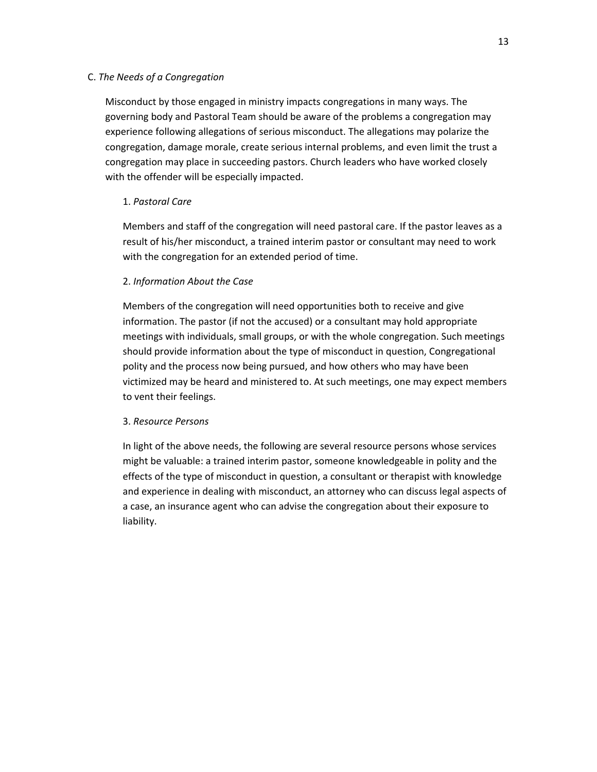#### C. *The Needs of a Congregation*

Misconduct by those engaged in ministry impacts congregations in many ways. The governing body and Pastoral Team should be aware of the problems a congregation may experience following allegations of serious misconduct. The allegations may polarize the congregation, damage morale, create serious internal problems, and even limit the trust a congregation may place in succeeding pastors. Church leaders who have worked closely with the offender will be especially impacted.

#### 1. *Pastoral Care*

Members and staff of the congregation will need pastoral care. If the pastor leaves as a result of his/her misconduct, a trained interim pastor or consultant may need to work with the congregation for an extended period of time.

#### 2. *Information About the Case*

Members of the congregation will need opportunities both to receive and give information. The pastor (if not the accused) or a consultant may hold appropriate meetings with individuals, small groups, or with the whole congregation. Such meetings should provide information about the type of misconduct in question, Congregational polity and the process now being pursued, and how others who may have been victimized may be heard and ministered to. At such meetings, one may expect members to vent their feelings.

#### 3. *Resource Persons*

In light of the above needs, the following are several resource persons whose services might be valuable: a trained interim pastor, someone knowledgeable in polity and the effects of the type of misconduct in question, a consultant or therapist with knowledge and experience in dealing with misconduct, an attorney who can discuss legal aspects of a case, an insurance agent who can advise the congregation about their exposure to liability.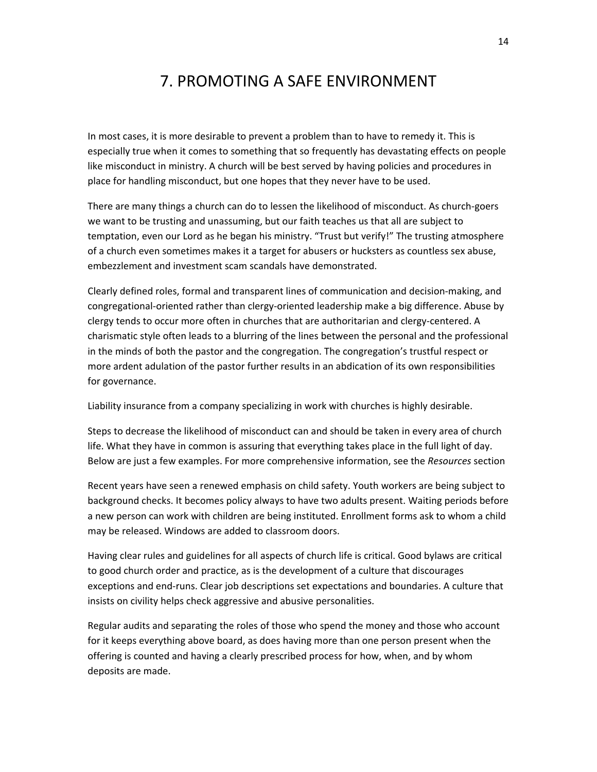# 7. PROMOTING A SAFE ENVIRONMENT

In most cases, it is more desirable to prevent a problem than to have to remedy it. This is especially true when it comes to something that so frequently has devastating effects on people like misconduct in ministry. A church will be best served by having policies and procedures in place for handling misconduct, but one hopes that they never have to be used.

There are many things a church can do to lessen the likelihood of misconduct. As church‐goers we want to be trusting and unassuming, but our faith teaches us that all are subject to temptation, even our Lord as he began his ministry. "Trust but verify!" The trusting atmosphere of a church even sometimes makes it a target for abusers or hucksters as countless sex abuse, embezzlement and investment scam scandals have demonstrated.

Clearly defined roles, formal and transparent lines of communication and decision‐making, and congregational‐oriented rather than clergy‐oriented leadership make a big difference. Abuse by clergy tends to occur more often in churches that are authoritarian and clergy‐centered. A charismatic style often leads to a blurring of the lines between the personal and the professional in the minds of both the pastor and the congregation. The congregation's trustful respect or more ardent adulation of the pastor further results in an abdication of its own responsibilities for governance.

Liability insurance from a company specializing in work with churches is highly desirable.

Steps to decrease the likelihood of misconduct can and should be taken in every area of church life. What they have in common is assuring that everything takes place in the full light of day. Below are just a few examples. For more comprehensive information, see the *Resources* section

Recent years have seen a renewed emphasis on child safety. Youth workers are being subject to background checks. It becomes policy always to have two adults present. Waiting periods before a new person can work with children are being instituted. Enrollment forms ask to whom a child may be released. Windows are added to classroom doors.

Having clear rules and guidelines for all aspects of church life is critical. Good bylaws are critical to good church order and practice, as is the development of a culture that discourages exceptions and end‐runs. Clear job descriptions set expectations and boundaries. A culture that insists on civility helps check aggressive and abusive personalities.

Regular audits and separating the roles of those who spend the money and those who account for it keeps everything above board, as does having more than one person present when the offering is counted and having a clearly prescribed process for how, when, and by whom deposits are made.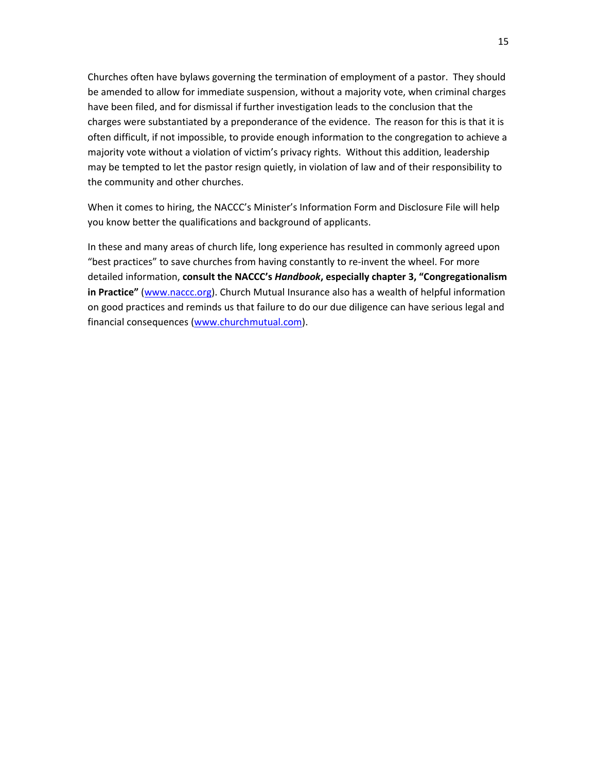Churches often have bylaws governing the termination of employment of a pastor. They should be amended to allow for immediate suspension, without a majority vote, when criminal charges have been filed, and for dismissal if further investigation leads to the conclusion that the charges were substantiated by a preponderance of the evidence. The reason for this is that it is often difficult, if not impossible, to provide enough information to the congregation to achieve a majority vote without a violation of victim's privacy rights. Without this addition, leadership may be tempted to let the pastor resign quietly, in violation of law and of their responsibility to the community and other churches.

When it comes to hiring, the NACCC's Minister's Information Form and Disclosure File will help you know better the qualifications and background of applicants.

In these and many areas of church life, long experience has resulted in commonly agreed upon "best practices" to save churches from having constantly to re‐invent the wheel. For more detailed information, **consult the NACCC's** *Handbook***, especially chapter 3, "Congregationalism in Practice"** (www.naccc.org). Church Mutual Insurance also has a wealth of helpful information on good practices and reminds us that failure to do our due diligence can have serious legal and financial consequences (www.churchmutual.com).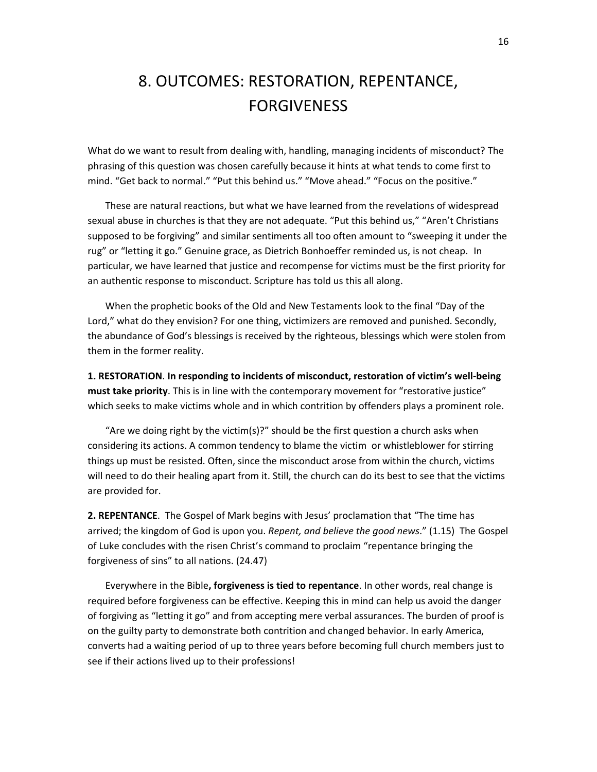# 8. OUTCOMES: RESTORATION, REPENTANCE, **FORGIVENESS**

What do we want to result from dealing with, handling, managing incidents of misconduct? The phrasing of this question was chosen carefully because it hints at what tends to come first to mind. "Get back to normal." "Put this behind us." "Move ahead." "Focus on the positive."

These are natural reactions, but what we have learned from the revelations of widespread sexual abuse in churches is that they are not adequate. "Put this behind us," "Aren't Christians supposed to be forgiving" and similar sentiments all too often amount to "sweeping it under the rug" or "letting it go." Genuine grace, as Dietrich Bonhoeffer reminded us, is not cheap. In particular, we have learned that justice and recompense for victims must be the first priority for an authentic response to misconduct. Scripture has told us this all along.

When the prophetic books of the Old and New Testaments look to the final "Day of the Lord," what do they envision? For one thing, victimizers are removed and punished. Secondly, the abundance of God's blessings is received by the righteous, blessings which were stolen from them in the former reality.

**1. RESTORATION**. **In responding to incidents of misconduct, restoration of victim's well‐being must take priority**. This is in line with the contemporary movement for "restorative justice" which seeks to make victims whole and in which contrition by offenders plays a prominent role.

"Are we doing right by the victim(s)?" should be the first question a church asks when considering its actions. A common tendency to blame the victim or whistleblower for stirring things up must be resisted. Often, since the misconduct arose from within the church, victims will need to do their healing apart from it. Still, the church can do its best to see that the victims are provided for.

**2. REPENTANCE**. The Gospel of Mark begins with Jesus' proclamation that "The time has arrived; the kingdom of God is upon you. *Repent, and believe the good news*." (1.15) The Gospel of Luke concludes with the risen Christ's command to proclaim "repentance bringing the forgiveness of sins" to all nations. (24.47)

Everywhere in the Bible**, forgiveness is tied to repentance**. In other words, real change is required before forgiveness can be effective. Keeping this in mind can help us avoid the danger of forgiving as "letting it go" and from accepting mere verbal assurances. The burden of proof is on the guilty party to demonstrate both contrition and changed behavior. In early America, converts had a waiting period of up to three years before becoming full church members just to see if their actions lived up to their professions!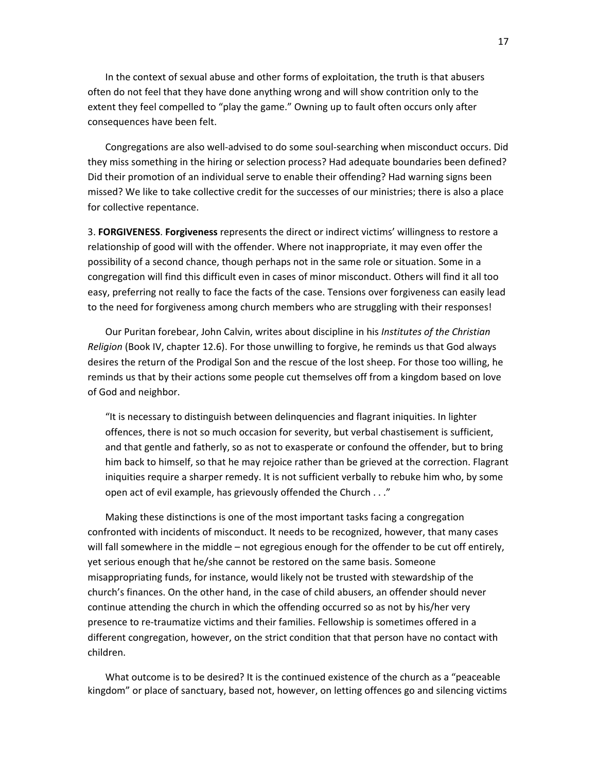In the context of sexual abuse and other forms of exploitation, the truth is that abusers often do not feel that they have done anything wrong and will show contrition only to the extent they feel compelled to "play the game." Owning up to fault often occurs only after consequences have been felt.

Congregations are also well‐advised to do some soul‐searching when misconduct occurs. Did they miss something in the hiring or selection process? Had adequate boundaries been defined? Did their promotion of an individual serve to enable their offending? Had warning signs been missed? We like to take collective credit for the successes of our ministries; there is also a place for collective repentance.

3. **FORGIVENESS**. **Forgiveness** represents the direct or indirect victims' willingness to restore a relationship of good will with the offender. Where not inappropriate, it may even offer the possibility of a second chance, though perhaps not in the same role or situation. Some in a congregation will find this difficult even in cases of minor misconduct. Others will find it all too easy, preferring not really to face the facts of the case. Tensions over forgiveness can easily lead to the need for forgiveness among church members who are struggling with their responses!

Our Puritan forebear, John Calvin, writes about discipline in his *Institutes of the Christian Religion* (Book IV, chapter 12.6). For those unwilling to forgive, he reminds us that God always desires the return of the Prodigal Son and the rescue of the lost sheep. For those too willing, he reminds us that by their actions some people cut themselves off from a kingdom based on love of God and neighbor.

"It is necessary to distinguish between delinquencies and flagrant iniquities. In lighter offences, there is not so much occasion for severity, but verbal chastisement is sufficient, and that gentle and fatherly, so as not to exasperate or confound the offender, but to bring him back to himself, so that he may rejoice rather than be grieved at the correction. Flagrant iniquities require a sharper remedy. It is not sufficient verbally to rebuke him who, by some open act of evil example, has grievously offended the Church . . ."

Making these distinctions is one of the most important tasks facing a congregation confronted with incidents of misconduct. It needs to be recognized, however, that many cases will fall somewhere in the middle – not egregious enough for the offender to be cut off entirely, yet serious enough that he/she cannot be restored on the same basis. Someone misappropriating funds, for instance, would likely not be trusted with stewardship of the church's finances. On the other hand, in the case of child abusers, an offender should never continue attending the church in which the offending occurred so as not by his/her very presence to re‐traumatize victims and their families. Fellowship is sometimes offered in a different congregation, however, on the strict condition that that person have no contact with children.

What outcome is to be desired? It is the continued existence of the church as a "peaceable kingdom" or place of sanctuary, based not, however, on letting offences go and silencing victims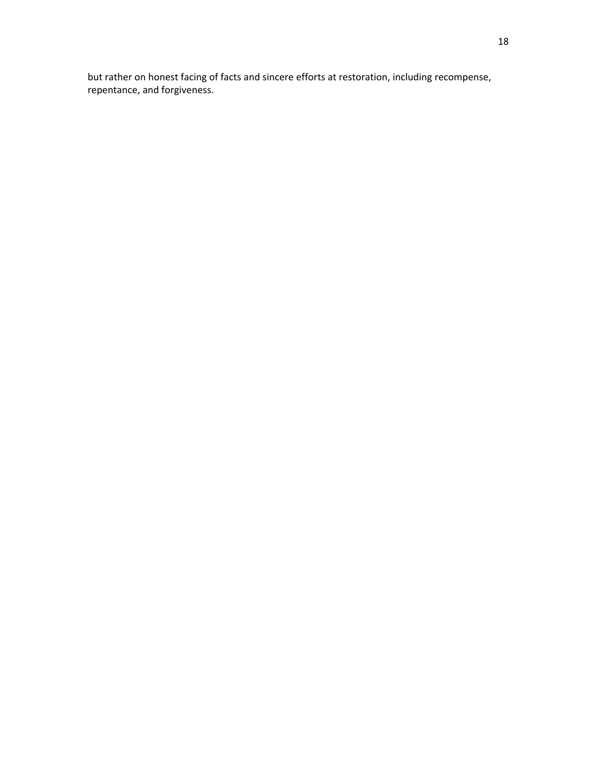but rather on honest facing of facts and sincere efforts at restoration, including recompense, repentance, and forgiveness.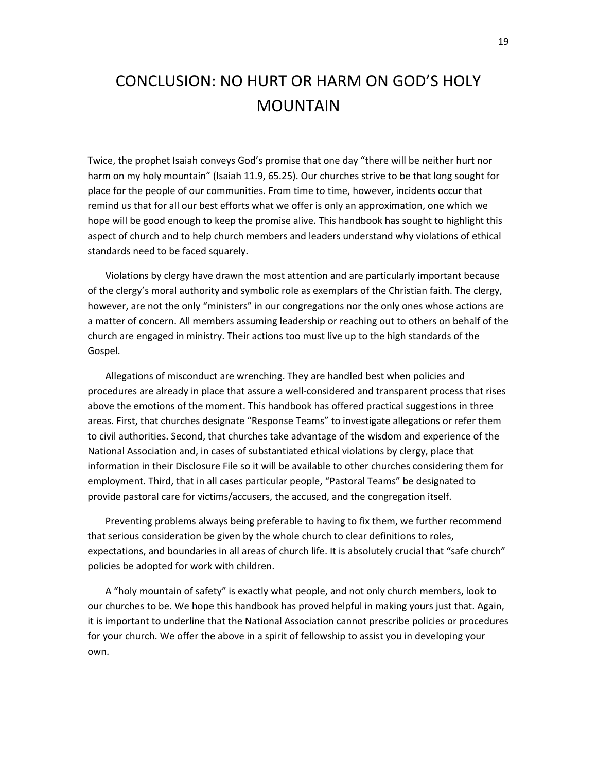# CONCLUSION: NO HURT OR HARM ON GOD'S HOLY MOUNTAIN

Twice, the prophet Isaiah conveys God's promise that one day "there will be neither hurt nor harm on my holy mountain" (Isaiah 11.9, 65.25). Our churches strive to be that long sought for place for the people of our communities. From time to time, however, incidents occur that remind us that for all our best efforts what we offer is only an approximation, one which we hope will be good enough to keep the promise alive. This handbook has sought to highlight this aspect of church and to help church members and leaders understand why violations of ethical standards need to be faced squarely.

Violations by clergy have drawn the most attention and are particularly important because of the clergy's moral authority and symbolic role as exemplars of the Christian faith. The clergy, however, are not the only "ministers" in our congregations nor the only ones whose actions are a matter of concern. All members assuming leadership or reaching out to others on behalf of the church are engaged in ministry. Their actions too must live up to the high standards of the Gospel.

Allegations of misconduct are wrenching. They are handled best when policies and procedures are already in place that assure a well‐considered and transparent process that rises above the emotions of the moment. This handbook has offered practical suggestions in three areas. First, that churches designate "Response Teams" to investigate allegations or refer them to civil authorities. Second, that churches take advantage of the wisdom and experience of the National Association and, in cases of substantiated ethical violations by clergy, place that information in their Disclosure File so it will be available to other churches considering them for employment. Third, that in all cases particular people, "Pastoral Teams" be designated to provide pastoral care for victims/accusers, the accused, and the congregation itself.

Preventing problems always being preferable to having to fix them, we further recommend that serious consideration be given by the whole church to clear definitions to roles, expectations, and boundaries in all areas of church life. It is absolutely crucial that "safe church" policies be adopted for work with children.

A "holy mountain of safety" is exactly what people, and not only church members, look to our churches to be. We hope this handbook has proved helpful in making yours just that. Again, it is important to underline that the National Association cannot prescribe policies or procedures for your church. We offer the above in a spirit of fellowship to assist you in developing your own.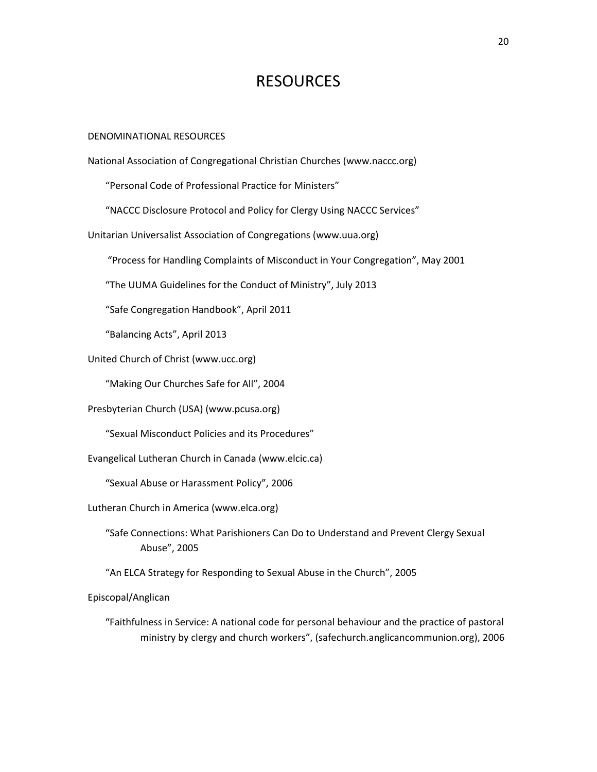## **RESOURCES**

#### DENOMINATIONAL RESOURCES

National Association of Congregational Christian Churches (www.naccc.org)

"Personal Code of Professional Practice for Ministers"

"NACCC Disclosure Protocol and Policy for Clergy Using NACCC Services"

Unitarian Universalist Association of Congregations (www.uua.org)

"Process for Handling Complaints of Misconduct in Your Congregation", May 2001

"The UUMA Guidelines for the Conduct of Ministry", July 2013

"Safe Congregation Handbook", April 2011

"Balancing Acts", April 2013

United Church of Christ (www.ucc.org)

"Making Our Churches Safe for All", 2004

Presbyterian Church (USA) (www.pcusa.org)

"Sexual Misconduct Policies and its Procedures"

Evangelical Lutheran Church in Canada (www.elcic.ca)

"Sexual Abuse or Harassment Policy", 2006

Lutheran Church in America (www.elca.org)

"Safe Connections: What Parishioners Can Do to Understand and Prevent Clergy Sexual Abuse", 2005

"An ELCA Strategy for Responding to Sexual Abuse in the Church", 2005

Episcopal/Anglican

"Faithfulness in Service: A national code for personal behaviour and the practice of pastoral ministry by clergy and church workers", (safechurch.anglicancommunion.org), 2006